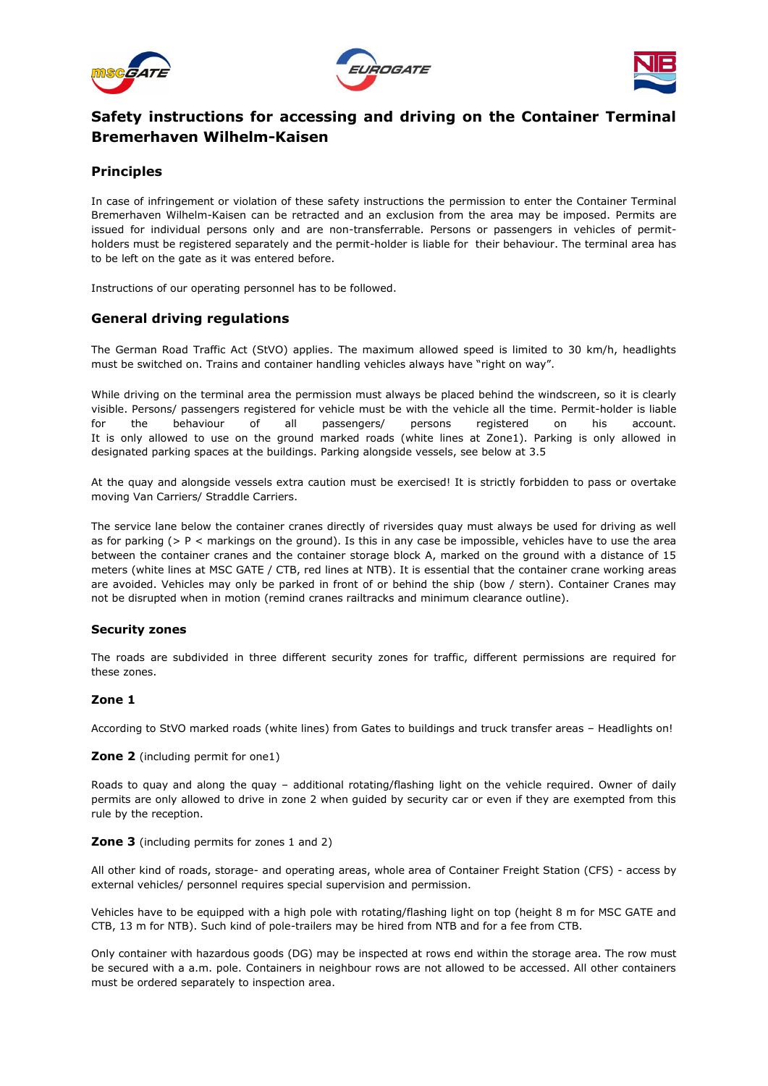





# **Safety instructions for accessing and driving on the Container Terminal Bremerhaven Wilhelm-Kaisen**

# **Principles**

In case of infringement or violation of these safety instructions the permission to enter the Container Terminal Bremerhaven Wilhelm-Kaisen can be retracted and an exclusion from the area may be imposed. Permits are issued for individual persons only and are non-transferrable. Persons or passengers in vehicles of permitholders must be registered separately and the permit-holder is liable for their behaviour. The terminal area has to be left on the gate as it was entered before.

Instructions of our operating personnel has to be followed.

### **General driving regulations**

The German Road Traffic Act (StVO) applies. The maximum allowed speed is limited to 30 km/h, headlights must be switched on. Trains and container handling vehicles always have "right on way".

While driving on the terminal area the permission must always be placed behind the windscreen, so it is clearly visible. Persons/ passengers registered for vehicle must be with the vehicle all the time. Permit-holder is liable for the behaviour of all passengers/ persons registered on his account. It is only allowed to use on the ground marked roads (white lines at Zone1). Parking is only allowed in designated parking spaces at the buildings. Parking alongside vessels, see below at 3.5

At the quay and alongside vessels extra caution must be exercised! It is strictly forbidden to pass or overtake moving Van Carriers/ Straddle Carriers.

The service lane below the container cranes directly of riversides quay must always be used for driving as well as for parking (> P < markings on the ground). Is this in any case be impossible, vehicles have to use the area between the container cranes and the container storage block A, marked on the ground with a distance of 15 meters (white lines at MSC GATE / CTB, red lines at NTB). It is essential that the container crane working areas are avoided. Vehicles may only be parked in front of or behind the ship (bow / stern). Container Cranes may not be disrupted when in motion (remind cranes railtracks and minimum clearance outline).

#### **Security zones**

The roads are subdivided in three different security zones for traffic, different permissions are required for these zones.

### **Zone 1**

According to StVO marked roads (white lines) from Gates to buildings and truck transfer areas – Headlights on!

#### **Zone 2** (including permit for one1)

Roads to quay and along the quay – additional rotating/flashing light on the vehicle required. Owner of daily permits are only allowed to drive in zone 2 when guided by security car or even if they are exempted from this rule by the reception.

#### **Zone 3** (including permits for zones 1 and 2)

All other kind of roads, storage- and operating areas, whole area of Container Freight Station (CFS) - access by external vehicles/ personnel requires special supervision and permission.

Vehicles have to be equipped with a high pole with rotating/flashing light on top (height 8 m for MSC GATE and CTB, 13 m for NTB). Such kind of pole-trailers may be hired from NTB and for a fee from CTB.

Only container with hazardous goods (DG) may be inspected at rows end within the storage area. The row must be secured with a a.m. pole. Containers in neighbour rows are not allowed to be accessed. All other containers must be ordered separately to inspection area.